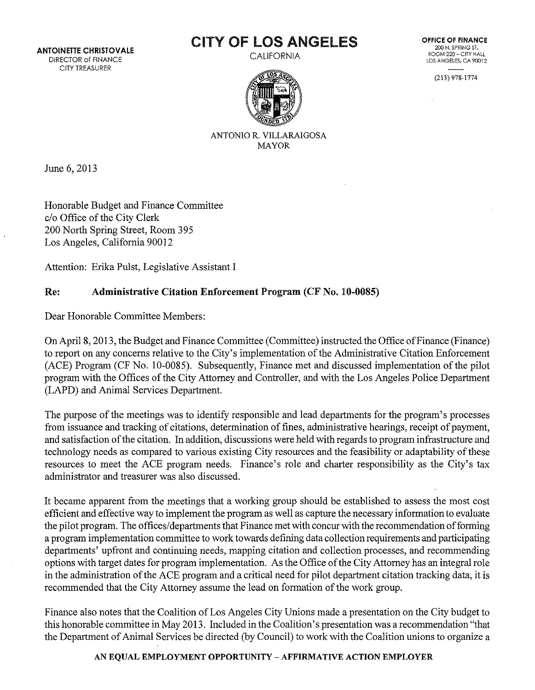ANTOINETTE CHRISTOVALE DIRECTOR of FINANCE CITY TREASURER

# CITY OF LOS ANGELES

CALIFORNIA

**OFFICE OF FINANCE** 200 N. SPRING ST. ROOM 220- CITY HALL LOS ANGELES, CA 90012

(213) 978-1774



ANTONIO R. VILLARAIGOSA MAYOR

June 6, 2013

Honorable Budget and Finance Committee c/o Office of the City Clerk 200 North Spring Street, Room 395 Los Angeles, California 90012

Attention: Erika Pulst, Legislative Assistant I

## Re: Administrative Citation Enforcement Program (CF No. 10-0085)

Dear Honorable Committee Members:

On April 8, 2013, the Budget and Finance Committee (Committee) instructed the Office of Finance (Finance) to report on any concerns relative to the City's implementation of the Administrative Citation Enforcement (ACE) Program (CF No. 10-0085). Subsequently, Finance met and discussed implementation of the pilot program with the Offices of the City Attorney and Controller, and with the Los Angeles Police Department (LAPD) and Animal Services Department.

The purpose of the meetings was to identify responsible and lead departments for the program's processes from issuance and tracking of citations, determination of fines, administrative hearings, receipt of payment, and satisfaction of the citation. In addition, discussions were held with regards to program infrastructure and technology needs as compared to various existing City resources and the feasibility or adaptability of these resources to meet the ACE program needs. Finance's role and charter responsibility as the City's tax administrator and treasurer was also discussed.

It became apparent from the meetings that a working group should be established to assess the most cost efficient and effective way to implement the program as well as capture the necessary information to evaluate the pilot program. The offices/departments that Finance met with concur with the recommendation of forming a program implementation committee to work towards defining data collection requirements and participating departments' upfront and continuing needs, mapping citation and collection processes, and recommending options with target dates for program implementation. As the Office of the City Attorney has an integral role in the administration of the ACE program and a critical need for pilot department citation tracking data, it is recommended that the City Attorney assume the lead on formation of the work group.

Finance also notes that the Coalition of Los Angeles City Unions made a presentation on the City budget to this honorable committee in May 2013. Included in the Coalition's presentation was a recommendation "that the Department of Animal Services be directed (by Council) to work with the Coalition unions to organize a

## AN EQUAL EMPLOYMENT OPPORTUNITY- AFFIRMATIVE ACTION EMPLOYER